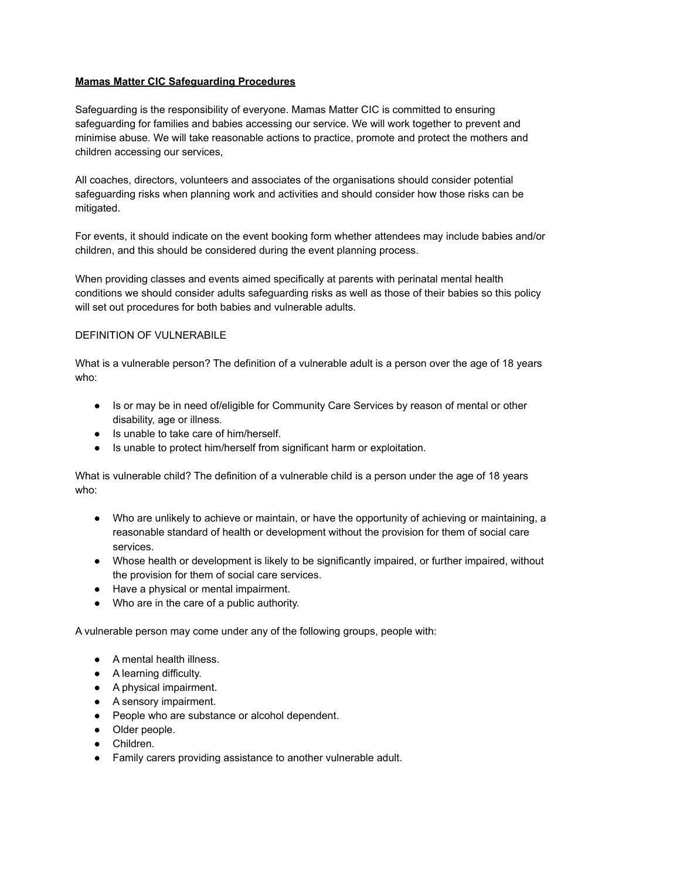## **Mamas Matter CIC Safeguarding Procedures**

Safeguarding is the responsibility of everyone. Mamas Matter CIC is committed to ensuring safeguarding for families and babies accessing our service. We will work together to prevent and minimise abuse. We will take reasonable actions to practice, promote and protect the mothers and children accessing our services,

All coaches, directors, volunteers and associates of the organisations should consider potential safeguarding risks when planning work and activities and should consider how those risks can be mitigated.

For events, it should indicate on the event booking form whether attendees may include babies and/or children, and this should be considered during the event planning process.

When providing classes and events aimed specifically at parents with perinatal mental health conditions we should consider adults safeguarding risks as well as those of their babies so this policy will set out procedures for both babies and vulnerable adults.

#### DEFINITION OF VULNERABILE

What is a vulnerable person? The definition of a vulnerable adult is a person over the age of 18 years who:

- Is or may be in need of/eligible for Community Care Services by reason of mental or other disability, age or illness.
- Is unable to take care of him/herself.
- Is unable to protect him/herself from significant harm or exploitation.

What is vulnerable child? The definition of a vulnerable child is a person under the age of 18 years who:

- Who are unlikely to achieve or maintain, or have the opportunity of achieving or maintaining, a reasonable standard of health or development without the provision for them of social care services.
- Whose health or development is likely to be significantly impaired, or further impaired, without the provision for them of social care services.
- Have a physical or mental impairment.
- Who are in the care of a public authority.

A vulnerable person may come under any of the following groups, people with:

- A mental health illness.
- A learning difficulty.
- A physical impairment.
- A sensory impairment.
- People who are substance or alcohol dependent.
- Older people.
- Children.
- Family carers providing assistance to another vulnerable adult.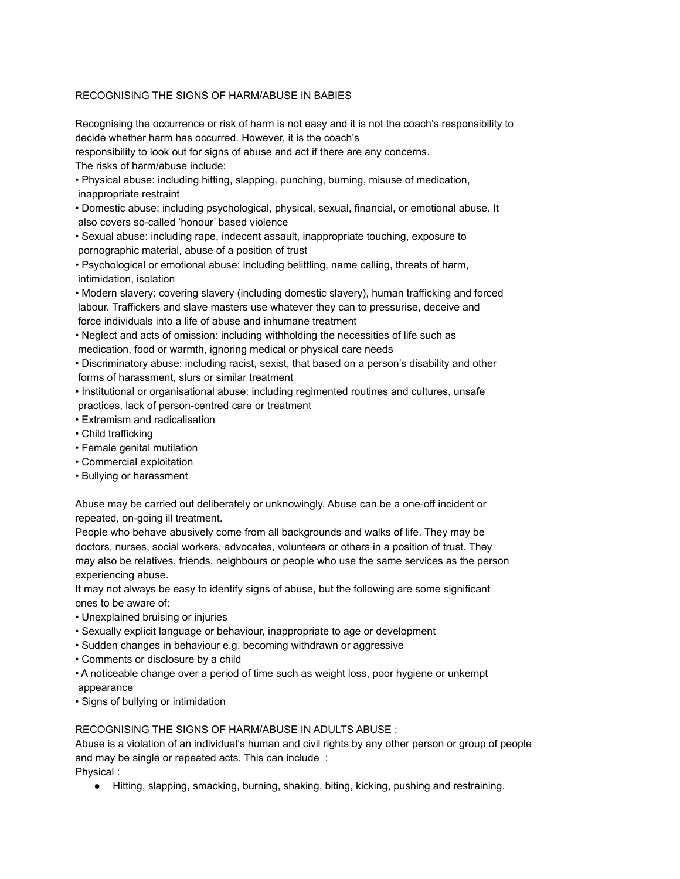## RECOGNISING THE SIGNS OF HARM/ABUSE IN BABIES

Recognising the occurrence or risk of harm is not easy and it is not the coach's responsibility to decide whether harm has occurred. However, it is the coach's

responsibility to look out for signs of abuse and act if there are any concerns.

The risks of harm/abuse include:

- Physical abuse: including hitting, slapping, punching, burning, misuse of medication, inappropriate restraint
- Domestic abuse: including psychological, physical, sexual, financial, or emotional abuse. It also covers so-called 'honour' based violence
- Sexual abuse: including rape, indecent assault, inappropriate touching, exposure to pornographic material, abuse of a position of trust
- Psychological or emotional abuse: including belittling, name calling, threats of harm, intimidation, isolation
- Modern slavery: covering slavery (including domestic slavery), human trafficking and forced labour. Traffickers and slave masters use whatever they can to pressurise, deceive and force individuals into a life of abuse and inhumane treatment
- Neglect and acts of omission: including withholding the necessities of life such as medication, food or warmth, ignoring medical or physical care needs
- Discriminatory abuse: including racist, sexist, that based on a person's disability and other forms of harassment, slurs or similar treatment
- Institutional or organisational abuse: including regimented routines and cultures, unsafe practices, lack of person-centred care or treatment
- Extremism and radicalisation
- Child trafficking
- Female genital mutilation
- Commercial exploitation
- Bullying or harassment

Abuse may be carried out deliberately or unknowingly. Abuse can be a one-off incident or repeated, on-going ill treatment.

People who behave abusively come from all backgrounds and walks of life. They may be doctors, nurses, social workers, advocates, volunteers or others in a position of trust. They may also be relatives, friends, neighbours or people who use the same services as the person experiencing abuse.

It may not always be easy to identify signs of abuse, but the following are some significant ones to be aware of:

- Unexplained bruising or injuries
- Sexually explicit language or behaviour, inappropriate to age or development
- Sudden changes in behaviour e.g. becoming withdrawn or aggressive
- Comments or disclosure by a child
- A noticeable change over a period of time such as weight loss, poor hygiene or unkempt appearance
- Signs of bullying or intimidation

# RECOGNISING THE SIGNS OF HARM/ABUSE IN ADULTS ABUSE :

Abuse is a violation of an individual's human and civil rights by any other person or group of people and may be single or repeated acts. This can include : Physical :

● Hitting, slapping, smacking, burning, shaking, biting, kicking, pushing and restraining.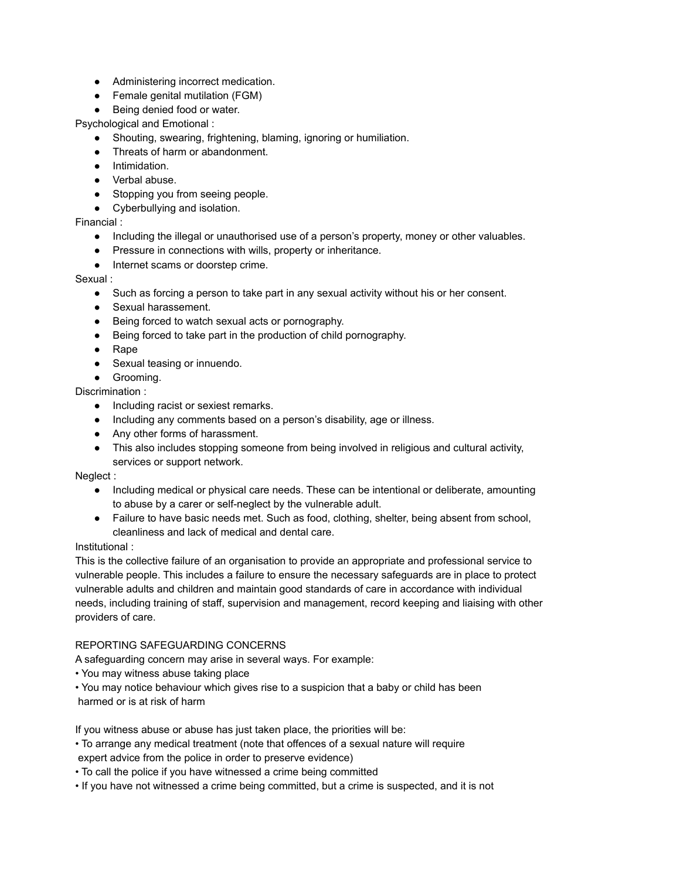- Administering incorrect medication.
- Female genital mutilation (FGM)
- Being denied food or water.

Psychological and Emotional :

- Shouting, swearing, frightening, blaming, ignoring or humiliation.
- Threats of harm or abandonment.
- Intimidation.
- Verbal abuse.
- Stopping you from seeing people.
- Cyberbullying and isolation.

#### Financial :

- Including the illegal or unauthorised use of a person's property, money or other valuables.
- Pressure in connections with wills, property or inheritance.
- Internet scams or doorstep crime.

#### Sexual :

- Such as forcing a person to take part in any sexual activity without his or her consent.
- Sexual harassement.
- Being forced to watch sexual acts or pornography.
- Being forced to take part in the production of child pornography.
- Rape
- Sexual teasing or innuendo.
- Grooming.

Discrimination :

- Including racist or sexiest remarks.
- Including any comments based on a person's disability, age or illness.
- Any other forms of harassment.
- This also includes stopping someone from being involved in religious and cultural activity, services or support network.

#### Neglect :

- Including medical or physical care needs. These can be intentional or deliberate, amounting to abuse by a carer or self-neglect by the vulnerable adult.
- Failure to have basic needs met. Such as food, clothing, shelter, being absent from school, cleanliness and lack of medical and dental care.

#### Institutional :

This is the collective failure of an organisation to provide an appropriate and professional service to vulnerable people. This includes a failure to ensure the necessary safeguards are in place to protect vulnerable adults and children and maintain good standards of care in accordance with individual needs, including training of staff, supervision and management, record keeping and liaising with other providers of care.

#### REPORTING SAFEGUARDING CONCERNS

A safeguarding concern may arise in several ways. For example:

- You may witness abuse taking place
- You may notice behaviour which gives rise to a suspicion that a baby or child has been harmed or is at risk of harm

If you witness abuse or abuse has just taken place, the priorities will be:

- To arrange any medical treatment (note that offences of a sexual nature will require expert advice from the police in order to preserve evidence)
- To call the police if you have witnessed a crime being committed
- If you have not witnessed a crime being committed, but a crime is suspected, and it is not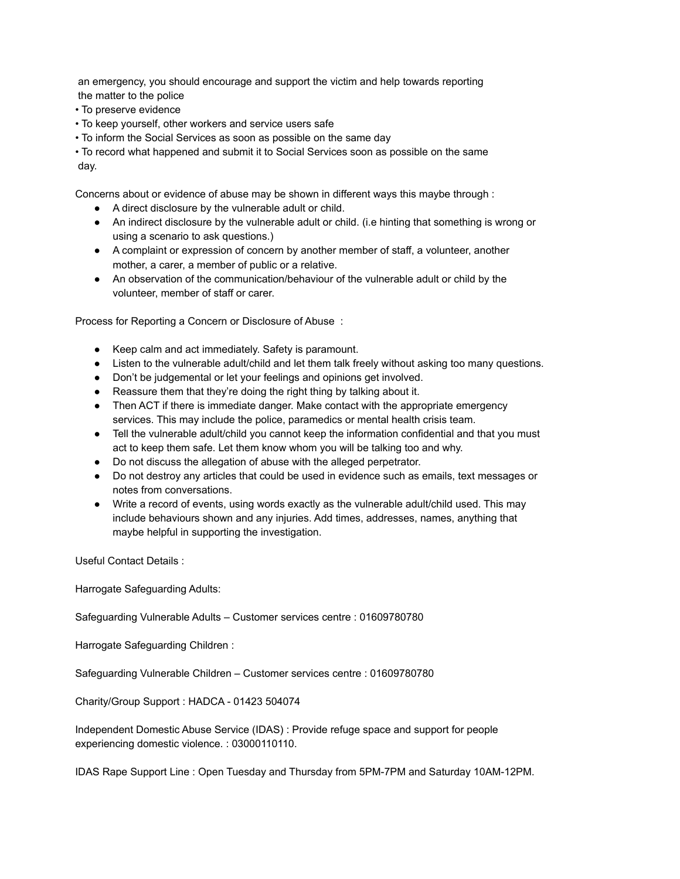an emergency, you should encourage and support the victim and help towards reporting the matter to the police

- To preserve evidence
- To keep yourself, other workers and service users safe
- To inform the Social Services as soon as possible on the same day

• To record what happened and submit it to Social Services soon as possible on the same day.

Concerns about or evidence of abuse may be shown in different ways this maybe through :

- A direct disclosure by the vulnerable adult or child.
- An indirect disclosure by the vulnerable adult or child. (i.e hinting that something is wrong or using a scenario to ask questions.)
- A complaint or expression of concern by another member of staff, a volunteer, another mother, a carer, a member of public or a relative.
- An observation of the communication/behaviour of the vulnerable adult or child by the volunteer, member of staff or carer.

Process for Reporting a Concern or Disclosure of Abuse :

- Keep calm and act immediately. Safety is paramount.
- Listen to the vulnerable adult/child and let them talk freely without asking too many questions.
- Don't be judgemental or let your feelings and opinions get involved.
- Reassure them that they're doing the right thing by talking about it.
- Then ACT if there is immediate danger. Make contact with the appropriate emergency services. This may include the police, paramedics or mental health crisis team.
- Tell the vulnerable adult/child you cannot keep the information confidential and that you must act to keep them safe. Let them know whom you will be talking too and why.
- Do not discuss the allegation of abuse with the alleged perpetrator.
- Do not destroy any articles that could be used in evidence such as emails, text messages or notes from conversations.
- Write a record of events, using words exactly as the vulnerable adult/child used. This may include behaviours shown and any injuries. Add times, addresses, names, anything that maybe helpful in supporting the investigation.

Useful Contact Details :

Harrogate Safeguarding Adults:

Safeguarding Vulnerable Adults – Customer services centre : 01609780780

Harrogate Safeguarding Children :

Safeguarding Vulnerable Children – Customer services centre : 01609780780

Charity/Group Support : HADCA - 01423 504074

Independent Domestic Abuse Service (IDAS) : Provide refuge space and support for people experiencing domestic violence. : 03000110110.

IDAS Rape Support Line : Open Tuesday and Thursday from 5PM-7PM and Saturday 10AM-12PM.